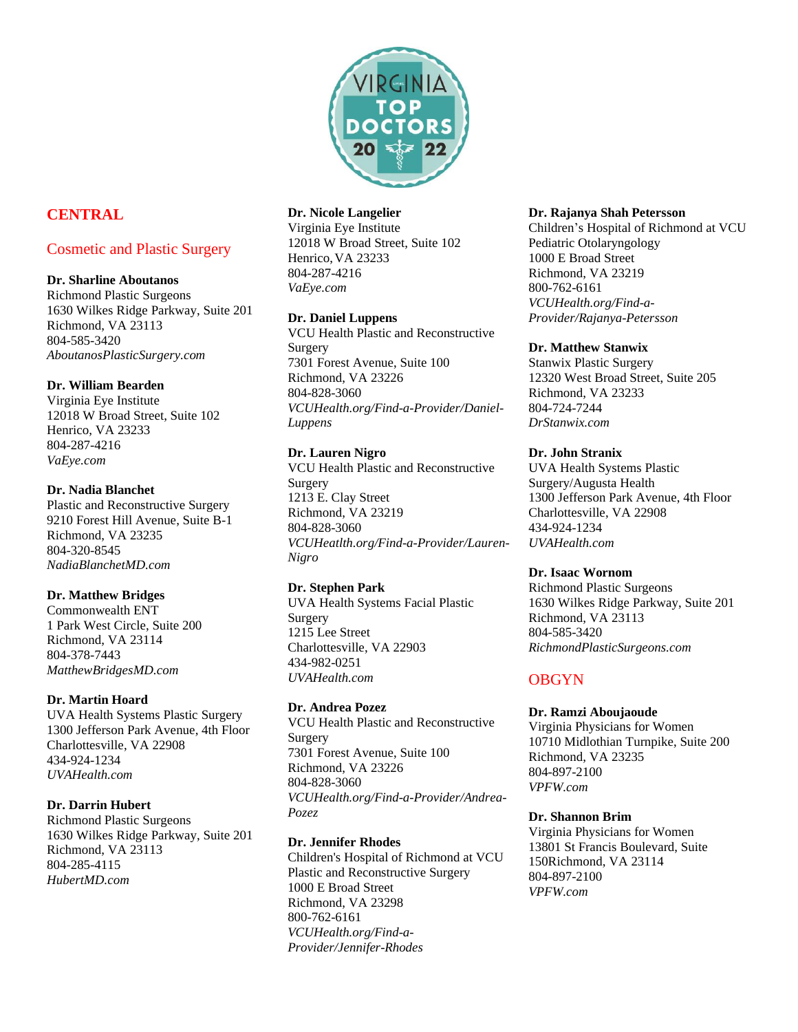

# **CENTRAL**

# Cosmetic and Plastic Surgery

## **Dr. Sharline Aboutanos**

Richmond Plastic Surgeons 1630 Wilkes Ridge Parkway, Suite 201 Richmond, VA 23113 804-585-3420 *[AboutanosPlasticSurgery.com](http://www.aboutanosplasticsurgery.com/)*

## **Dr. William Bearden**

Virginia Eye Institute 12018 W Broad Street, Suite 102 Henrico, VA 23233 804-287-4216 *VaEye.com*

## **Dr. Nadia Blanchet**

Plastic and Reconstructive Surgery 9210 Forest Hill Avenue, Suite B-1 Richmond, VA 23235 804-320-8545 *[NadiaBlanchetMD.com](http://www.nadiablanchetmd.com/)*

## **Dr. Matthew Bridges**

Commonwealth ENT 1 Park West Circle, Suite 200 Richmond, VA 23114 804-378-7443 *[MatthewBridgesMD.com](http://www.matthewbridgesmd.com/)*

## **Dr. Martin Hoard**

UVA Health Systems Plastic Surgery 1300 Jefferson Park Avenue, 4th Floor Charlottesville, VA 22908 434-924-1234 *UVAHealth.com*

#### **Dr. Darrin Hubert**

Richmond Plastic Surgeons 1630 Wilkes Ridge Parkway, Suite 201 Richmond, VA 23113 804-285-4115 *[HubertMD.com](http://www.hubertmd.com/)*

## **Dr. Nicole Langelier**

Virginia Eye Institute 12018 W Broad Street, Suite 102 Henrico,VA 23233 804-287-4216 *VaEye.com*

## **Dr. Daniel Luppens**

VCU Health Plastic and Reconstructive Surgery 7301 Forest Avenue, Suite 100 Richmond, VA 23226 804-828-3060 *[VCUHealth.org/Find-a-Provider/Daniel-](https://www.vcuhealth.org/find-a-provider/daniel-luppens)[Luppens](https://www.vcuhealth.org/find-a-provider/daniel-luppens)*

## **Dr. Lauren Nigro**

VCU Health Plastic and Reconstructive Surgery 1213 E. Clay Street Richmond, VA 23219 804-828-3060 *VCUHeatlth.org/Find-a-Provider/Lauren-Nigro*

#### **Dr. Stephen Park**

UVA Health Systems Facial Plastic Surgery 1215 Lee Street Charlottesville, VA 22903 434-982-0251 *UVAHealth.com*

#### **Dr. Andrea Pozez**

VCU Health Plastic and Reconstructive Surgery 7301 Forest Avenue, Suite 100 Richmond, VA 23226 804-828-3060 *VCUHealth.org/Find-a-Provider/Andrea-Pozez*

## **Dr. Jennifer Rhodes**

Children's Hospital of Richmond at VCU Plastic and Reconstructive Surgery 1000 E Broad Street Richmond, VA 23298 800-762-6161 *VCUHealth.org/Find-a-Provider/Jennifer-Rhodes*

#### **Dr. Rajanya Shah Petersson**

Children's Hospital of Richmond at VCU Pediatric Otolaryngology 1000 E Broad Street Richmond, VA 23219 800-762-6161 *VCUHealth.org/Find-a-Provider/Rajanya-Petersson*

## **Dr. Matthew Stanwix**

Stanwix Plastic Surgery 12320 West Broad Street, Suite 205 Richmond, VA 23233 804-724-7244 *[DrStanwix.com](http://www.drstanwix.com/)*

#### **Dr. John Stranix**

UVA Health Systems Plastic Surgery/Augusta Health 1300 Jefferson Park Avenue, 4th Floor Charlottesville, VA 22908 434-924-1234 *UVAHealth.com*

#### **Dr. Isaac Wornom**

Richmond Plastic Surgeons 1630 Wilkes Ridge Parkway, Suite 201 Richmond, VA 23113 804-585-3420 *[RichmondPlasticSurgeons.com](http://richmondplasticsurgeons.com/)*

# **OBGYN**

#### **Dr. Ramzi Aboujaoude**

Virginia Physicians for Women 10710 Midlothian Turnpike, Suite 200 Richmond, VA 23235 804-897-2100 *VPFW.com*

#### **Dr. Shannon Brim**

Virginia Physicians for Women 13801 St Francis Boulevard, Suite 150Richmond, VA 23114 804-897-2100 *[VPFW.com](https://vpfw.com/)*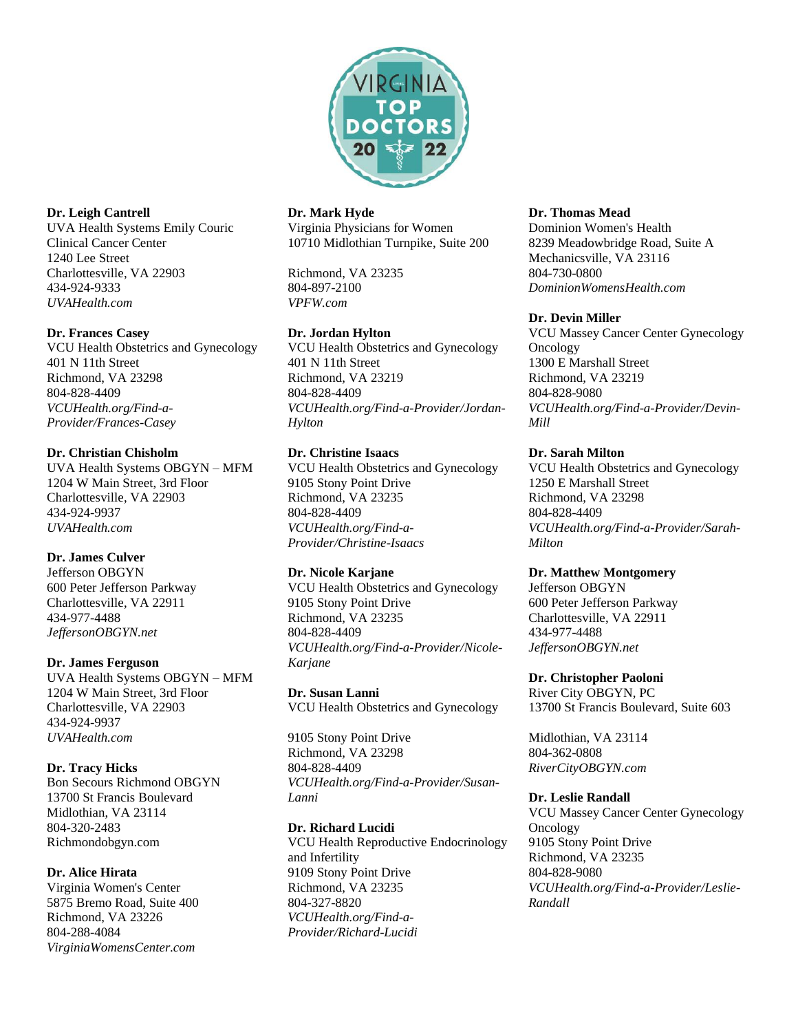

## **Dr. Leigh Cantrell**

UVA Health Systems Emily Couric Clinical Cancer Center 1240 Lee Street Charlottesville, VA 22903 434-924-9333 *UVAHealth.com*

#### **Dr. Frances Casey**

VCU Health Obstetrics and Gynecology 401 N 11th Street Richmond, VA 23298 804-828-4409 *VCUHealth.org/Find-a-Provider/Frances-Casey*

#### **Dr. Christian Chisholm**

UVA Health Systems OBGYN – MFM 1204 W Main Street, 3rd Floor Charlottesville, VA 22903 434-924-9937 *UVAHealth.com*

## **Dr. James Culver**

Jefferson OBGYN 600 Peter Jefferson Parkway Charlottesville, VA 22911 434-977-4488 *JeffersonOBGYN.net*

#### **Dr. James Ferguson**

UVA Health Systems OBGYN – MFM 1204 W Main Street, 3rd Floor Charlottesville, VA 22903 434-924-9937 *UVAHealth.com*

#### **Dr. Tracy Hicks**

Bon Secours Richmond OBGYN 13700 St Francis Boulevard Midlothian, VA 23114 804-320-2483 [Richmondobgyn.com](http://richmondobgyn.com/)

#### **Dr. Alice Hirata**

Virginia Women's Center 5875 Bremo Road, Suite 400 Richmond, VA 23226 804-288-4084 *[VirginiaWomensCenter.com](http://virginiawomenscenter.com/)*

## **Dr. Mark Hyde**

Virginia Physicians for Women 10710 Midlothian Turnpike, Suite 200

Richmond, VA 23235 804-897-2100 *VPFW.com*

## **Dr. Jordan Hylton**

VCU Health Obstetrics and Gynecology 401 N 11th Street Richmond, VA 23219 804-828-4409 *VCUHealth.org/Find-a-Provider/Jordan-Hylton*

## **Dr. Christine Isaacs**

VCU Health Obstetrics and Gynecology 9105 Stony Point Drive Richmond, VA 23235 804-828-4409 *VCUHealth.org/Find-a-Provider/Christine-Isaacs*

#### **Dr. Nicole Karjane**

VCU Health Obstetrics and Gynecology 9105 Stony Point Drive Richmond, VA 23235 804-828-4409 *VCUHealth.org/Find-a-Provider/Nicole-Karjane*

**Dr. Susan Lanni** VCU Health Obstetrics and Gynecology

9105 Stony Point Drive Richmond, VA 23298 804-828-4409 *VCUHealth.org/Find-a-Provider/Susan-Lanni*

## **Dr. Richard Lucidi**

VCU Health Reproductive Endocrinology and Infertility 9109 Stony Point Drive Richmond, VA 23235 804-327-8820 *VCUHealth.org/Find-a-Provider/Richard-Lucidi*

#### **Dr. Thomas Mead**

Dominion Women's Health 8239 Meadowbridge Road, Suite A Mechanicsville, VA 23116 804-730-0800 *DominionWomensHealth.com*

## **Dr. Devin Miller**

VCU Massey Cancer Center Gynecology Oncology 1300 E Marshall Street Richmond, VA 23219 804-828-9080 *VCUHealth.org/Find-a-Provider/Devin-Mill*

## **Dr. Sarah Milton**

VCU Health Obstetrics and Gynecology 1250 E Marshall Street Richmond, VA 23298 804-828-4409 *VCUHealth.org/Find-a-Provider/Sarah-Milton*

#### **Dr. Matthew Montgomery**

Jefferson OBGYN 600 Peter Jefferson Parkway Charlottesville, VA 22911 434-977-4488 *[JeffersonOBGYN.net](http://jeffersonobgyn.net/)*

#### **Dr. Christopher Paoloni**

River City OBGYN, PC 13700 St Francis Boulevard, Suite 603

Midlothian, VA 23114 804-362-0808 *[RiverCityOBGYN.com](http://www.rivercityobgyn.com/)*

#### **Dr. Leslie Randall**

VCU Massey Cancer Center Gynecology Oncology 9105 Stony Point Drive Richmond, VA 23235 804-828-9080 *VCUHealth.org/Find-a-Provider/Leslie-Randall*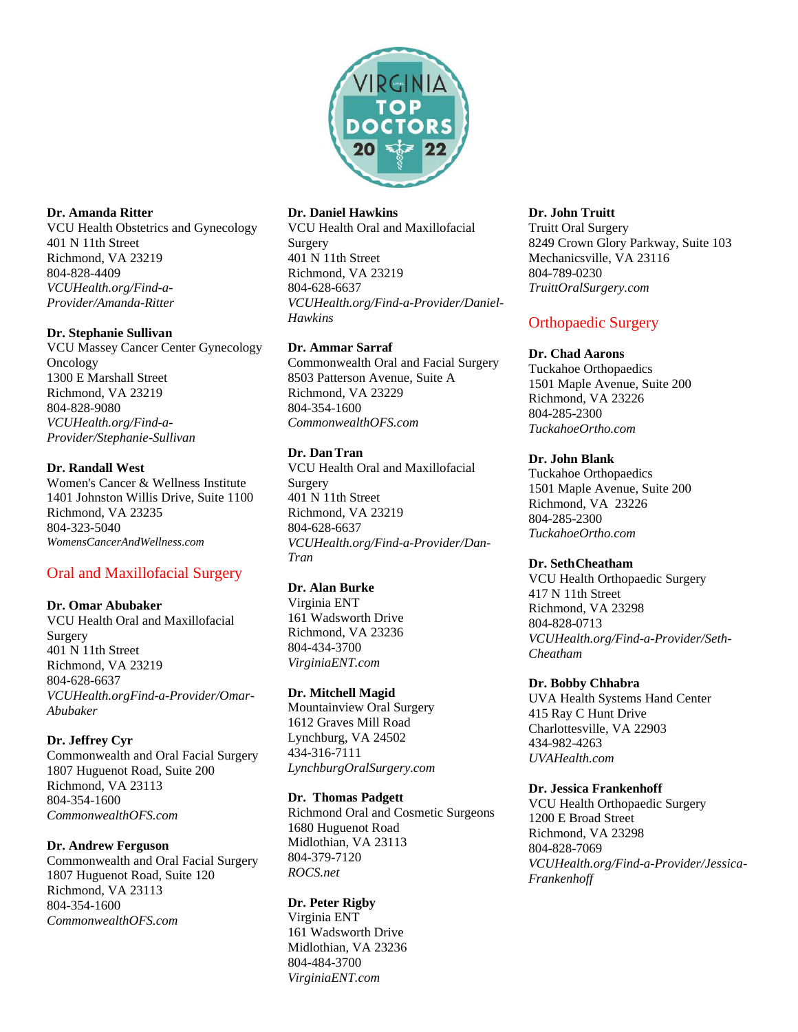

#### **Dr. Amanda Ritter**

VCU Health Obstetrics and Gynecology 401 N 11th Street Richmond, VA 23219 804-828-4409 *VCUHealth.org/Find-a-Provider/Amanda-Ritter*

## **Dr. Stephanie Sullivan**

VCU Massey Cancer Center Gynecology Oncology 1300 E Marshall Street Richmond, VA 23219 804-828-9080 *VCUHealth.org/Find-a-Provider/Stephanie-Sullivan*

## **Dr. Randall West**

Women's Cancer & Wellness Institute 1401 Johnston Willis Drive, Suite 1100 Richmond, VA 23235 804-323-5040 *WomensCancerAndWellness.com*

# Oral and Maxillofacial Surgery

## **Dr. Omar Abubaker**

VCU Health Oral and Maxillofacial Surgery 401 N 11th Street Richmond, VA 23219 804-628-6637 *[VCUHealth.orgFind-a-Provider/Omar-](https://www.vcuhealth.org/find-a-provider/Omar-Abubaker)[Abubaker](https://www.vcuhealth.org/find-a-provider/Omar-Abubaker)*

## **Dr. Jeffrey Cyr**

Commonwealth and Oral Facial Surgery 1807 Huguenot Road, Suite 200 Richmond, VA 23113 804-354-1600 *CommonwealthOFS.com*

#### **Dr. Andrew Ferguson**

Commonwealth and Oral Facial Surgery 1807 Huguenot Road, Suite 120 Richmond, VA 23113 804-354-1600 *CommonwealthOFS.com*

#### **Dr. Daniel Hawkins**

VCU Health Oral and Maxillofacial Surgery 401 N 11th Street Richmond, VA 23219 [804-628-6637](/Users/konstantin/Downloads/804-628-6637) *VCUHealth.org/Find-a-Provider/Daniel-Hawkins*

## **Dr. Ammar Sarraf**

Commonwealth Oral and Facial Surgery 8503 Patterson Avenue, Suite A Richmond, VA 23229 804-354-1600 *CommonwealthOFS.com*

## **Dr. DanTran**

VCU Health Oral and Maxillofacial Surgery 401 N 11th Street Richmond, VA 23219 804-628-6637 *VCUHealth.org/Find-a-Provider/Dan-Tran*

## **Dr. Alan Burke**

Virginia ENT 161 Wadsworth Drive Richmond, VA 23236 804-434-3700 *[VirginiaENT.com](http://www.virginiaent.com/)*

#### **Dr. Mitchell Magid**

Mountainview Oral Surgery 1612 Graves Mill Road Lynchburg, VA 24502 434-316-7111 *[LynchburgOralSurgery.com](https://www.lynchburgoralsurgery.com/)*

#### **Dr. Thomas Padgett**

Richmond Oral and Cosmetic Surgeons 1680 Huguenot Road Midlothian, VA 23113 804-379-7120 *ROCS.net*

## **Dr. Peter Rigby**

Virginia ENT 161 Wadsworth Drive Midlothian, VA 23236 804-484-3700 *VirginiaENT.com*

#### **Dr. John Truitt**

Truitt Oral Surgery 8249 Crown Glory Parkway, Suite 103 Mechanicsville, VA 23116 804-789-0230 *TruittOralSurgery.com*

# Orthopaedic Surgery

## **Dr. Chad Aarons**

Tuckahoe Orthopaedics 1501 Maple Avenue, Suite 200 Richmond, VA 23226 804-285-2300 *TuckahoeOrtho.com*

## **Dr. John Blank**

Tuckahoe Orthopaedics 1501 Maple Avenue, Suite 200 Richmond, VA 23226 804-285-2300 *TuckahoeOrtho.com*

#### **Dr. SethCheatham**

VCU Health Orthopaedic Surgery 417 N 11th Street Richmond, VA 23298 804-828-0713 *VCUHealth.org/Find-a-Provider/Seth-Cheatham*

#### **Dr. Bobby Chhabra**

UVA Health Systems Hand Center 415 Ray C Hunt Drive Charlottesville, VA 22903 434-982-4263 *UVAHealth.com*

#### **Dr. Jessica Frankenhoff**

VCU Health Orthopaedic Surgery 1200 E Broad Street Richmond, VA 23298 804-828-7069 *VCUHealth.org/Find-a-Provider/Jessica-Frankenhoff*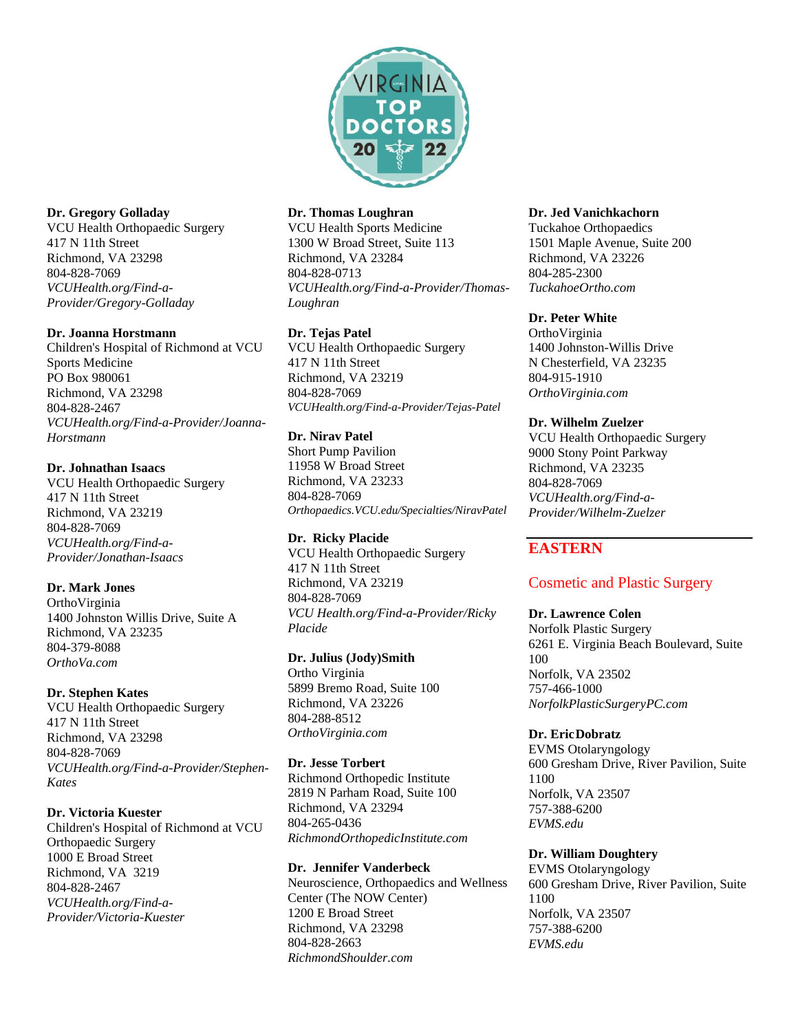

## **Dr. Gregory Golladay**

VCU Health Orthopaedic Surgery 417 N 11th Street Richmond, VA 23298 804-828-7069 *[VCUHealth.org/Find-a-](https://www.vcuhealth.org/find-a-provider/gregory-golladay)[Provider/Gregory-Golladay](https://www.vcuhealth.org/find-a-provider/gregory-golladay)*

#### **Dr. Joanna Horstmann**

Children's Hospital of Richmond at VCU Sports Medicine PO Box 980061 Richmond, VA 23298 804-828-2467 *[VCUHealth.org/Find-a-Provider/Joanna-](https://www.vcuhealth.org/find-a-provider/joanna-horstmann)[Horstmann](https://www.vcuhealth.org/find-a-provider/joanna-horstmann)*

## **Dr. Johnathan Isaacs**

VCU Health Orthopaedic Surgery 417 N 11th Street Richmond, VA 23219 804-828-7069 *VCUHealth.org/Find-a-Provider/Jonathan-Isaacs*

## **Dr. Mark Jones**

OrthoVirginia 1400 Johnston Willis Drive, Suite A Richmond, VA 23235 804-379-8088 *[OrthoVa.com](http://www.orthova.com/)*

## **Dr. Stephen Kates**

VCU Health Orthopaedic Surgery 417 N 11th Street Richmond, VA 23298 804-828-7069 *VCUHealth.org/Find-a-Provider/Stephen-Kates*

#### **Dr. Victoria Kuester**

Children's Hospital of Richmond at VCU Orthopaedic Surgery 1000 E Broad Street Richmond, VA 3219 804-828-2467 *VCUHealth.org/Find-a-Provider/Victoria-Kuester*

#### **Dr. Thomas Loughran**

VCU Health Sports Medicine 1300 W Broad Street, Suite 113 Richmond, VA 23284 804-828-0713 *VCUHealth.org/Find-a-Provider/Thomas-Loughran*

## **Dr. Tejas Patel**

VCU Health Orthopaedic Surgery 417 N 11th Street Richmond, VA 23219 804-828-7069 *VCUHealth.org/Find-a-Provider/Tejas-Patel*

## **Dr. Nirav Patel**

Short Pump Pavilion 11958 W Broad Street Richmond, VA 23233 804-828-7069 *[Orthopaedics.VCU.edu/Specialties/NiravPatel](https://orthopaedics.vcu.edu/specialties/niravpatel.html)*

## **Dr. Ricky Placide**

VCU Health Orthopaedic Surgery 417 N 11th Street Richmond, VA 23219 804-828-7069 *VCU Health.org/Find-a-Provider/Ricky Placide*

#### **Dr. Julius (Jody)Smith**

Ortho Virginia 5899 Bremo Road, Suite 100 Richmond, VA 23226 804-288-8512 *[OrthoVirginia.com](http://www.orthovirginia.com/)*

#### **Dr. Jesse Torbert**

Richmond Orthopedic Institute 2819 N Parham Road, Suite 100 Richmond, VA 23294 804-265-0436 *RichmondOrthopedicInstitute.com*

#### **Dr. Jennifer Vanderbeck**

Neuroscience, Orthopaedics and Wellness Center (The NOW Center) 1200 E Broad Street Richmond, VA 23298 804-828-2663 *RichmondShoulder.com*

#### **Dr. Jed Vanichkachorn**

Tuckahoe Orthopaedics 1501 Maple Avenue, Suite 200 Richmond, VA 23226 804-285-2300 *TuckahoeOrtho.com*

## **Dr. Peter White**

OrthoVirginia 1400 Johnston-Willis Drive N Chesterfield, VA 23235 804-915-1910 *OrthoVirginia.com*

## **Dr. Wilhelm Zuelzer**

VCU Health Orthopaedic Surgery 9000 Stony Point Parkway Richmond, VA 23235 804-828-7069 *VCUHealth.org/Find-a-Provider/Wilhelm-Zuelzer*

# **EASTERN**

# Cosmetic and Plastic Surgery

#### **Dr. Lawrence Colen**

Norfolk Plastic Surgery 6261 E. Virginia Beach Boulevard, Suite 100 Norfolk, VA 23502 757-466-1000 *[NorfolkPlasticSurgeryPC.com](http://www.norfolkplasticsurgerypc.com/)*

#### **Dr. EricDobratz**

EVMS Otolaryngology 600 Gresham Drive, River Pavilion, Suite 1100 Norfolk, VA 23507 757-388-6200 *EVMS.edu*

#### **Dr. William Doughtery**

EVMS Otolaryngology 600 Gresham Drive, River Pavilion, Suite 1100 Norfolk, VA 23507 757-388-6200 *EVMS.edu*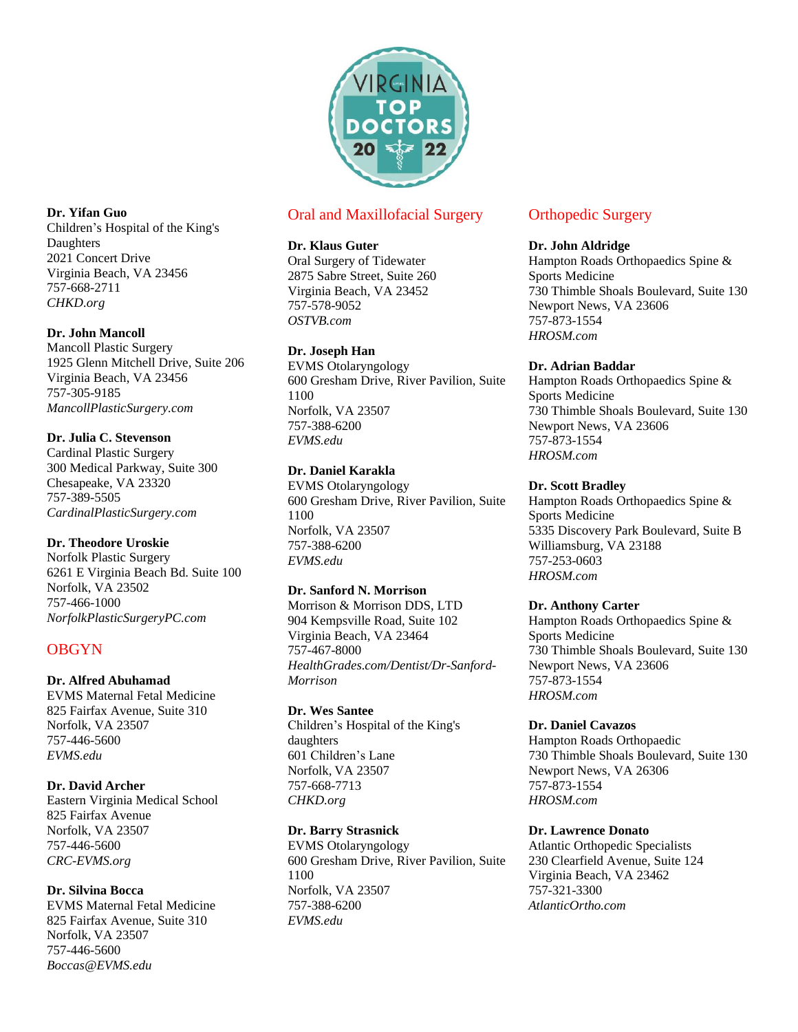

# Oral and Maxillofacial Surgery

## **Dr. Klaus Guter**

Oral Surgery of Tidewater 2875 Sabre Street, Suite 260 Virginia Beach, VA 23452 757-578-9052 *[OSTVB.com](https://www.ostvb.com/)*

# **Dr. Joseph Han**

EVMS Otolaryngology 600 Gresham Drive, River Pavilion, Suite 1100 Norfolk, VA 23507 757-388-6200 *[EVMS.edu](https://www.evms.edu/)*

# **Dr. Daniel Karakla**

EVMS Otolaryngology 600 Gresham Drive, River Pavilion, Suite 1100 Norfolk, VA 23507 757-388-6200 *EVMS.edu*

## **Dr. Sanford N. Morrison**

Morrison & Morrison DDS, LTD 904 Kempsville Road, Suite 102 Virginia Beach, VA 23464 757-467-8000 *HealthGrades.com/Dentist/Dr-Sanford-Morrison*

## **Dr. Wes Santee**

Children's Hospital of the King's daughters 601 Children's Lane Norfolk, VA 23507 757-668-7713 *CHKD.org*

## **Dr. Barry Strasnick**

EVMS Otolaryngology 600 Gresham Drive, River Pavilion, Suite 1100 Norfolk, VA 23507 757-388-6200 *[EVMS.edu](https://www.evms.edu/)*

# Orthopedic Surgery

#### **Dr. John Aldridge**

Hampton Roads Orthopaedics Spine & Sports Medicine 730 Thimble Shoals Boulevard, Suite 130 Newport News, VA 23606 757-873-1554 *HROSM.com*

## **Dr. Adrian Baddar**

Hampton Roads Orthopaedics Spine & Sports Medicine 730 Thimble Shoals Boulevard, Suite 130 Newport News, VA 23606 757-873-1554 *HROSM.com*

## **Dr. Scott Bradley**

Hampton Roads Orthopaedics Spine & Sports Medicine 5335 Discovery Park Boulevard, Suite B Williamsburg, VA 23188 757-253-0603 *HROSM.com*

## **Dr. Anthony Carter**

Hampton Roads Orthopaedics Spine & Sports Medicine 730 Thimble Shoals Boulevard, Suite 130 Newport News, VA 23606 757-873-1554 *HROSM.com*

## **Dr. Daniel Cavazos**

Hampton Roads Orthopaedic 730 Thimble Shoals Boulevard, Suite 130 Newport News, VA 26306 757-873-1554 *HROSM.com*

## **Dr. Lawrence Donato**

Atlantic Orthopedic Specialists 230 Clearfield Avenue, Suite 124 Virginia Beach, VA 23462 757-321-3300 *AtlanticOrtho.com*

## **Dr. Yifan Guo**

Children's Hospital of the King's Daughters 2021 Concert Drive Virginia Beach, VA 23456 757-668-2711 *CHKD.org*

## **Dr. John Mancoll**

Mancoll Plastic Surgery 1925 Glenn Mitchell Drive, Suite 206 Virginia Beach, VA 23456 757-305-9185 *[MancollPlasticSurgery.com](http://www.mancollplasticsurgery.com/)*

# **Dr. Julia C. Stevenson**

Cardinal Plastic Surgery 300 Medical Parkway, Suite 300 Chesapeake, VA 23320 757-389-5505 *CardinalPlasticSurgery.com*

## **Dr. Theodore Uroskie**

Norfolk Plastic Surgery 6261 E Virginia Beach Bd. Suite 100 Norfolk, VA 23502 757-466-1000 *NorfolkPlasticSurgeryPC.com*

# **OBGYN**

## **Dr. Alfred Abuhamad**

EVMS Maternal Fetal Medicine 825 Fairfax Avenue, Suite 310 Norfolk, VA 23507 757-446-5600 *EVMS.edu*

## **Dr. David Archer**

Eastern Virginia Medical School 825 Fairfax Avenue Norfolk, VA 23507 757-446-5600 *[CRC-EVMS.org](http://www.crc-evms.org/)*

# **Dr. Silvina Bocca**

EVMS Maternal Fetal Medicine 825 Fairfax Avenue, Suite 310 Norfolk, VA 23507 757-446-5600 *[Boccas@EVMS.edu](mailto:Boccas@EVMS.edu)*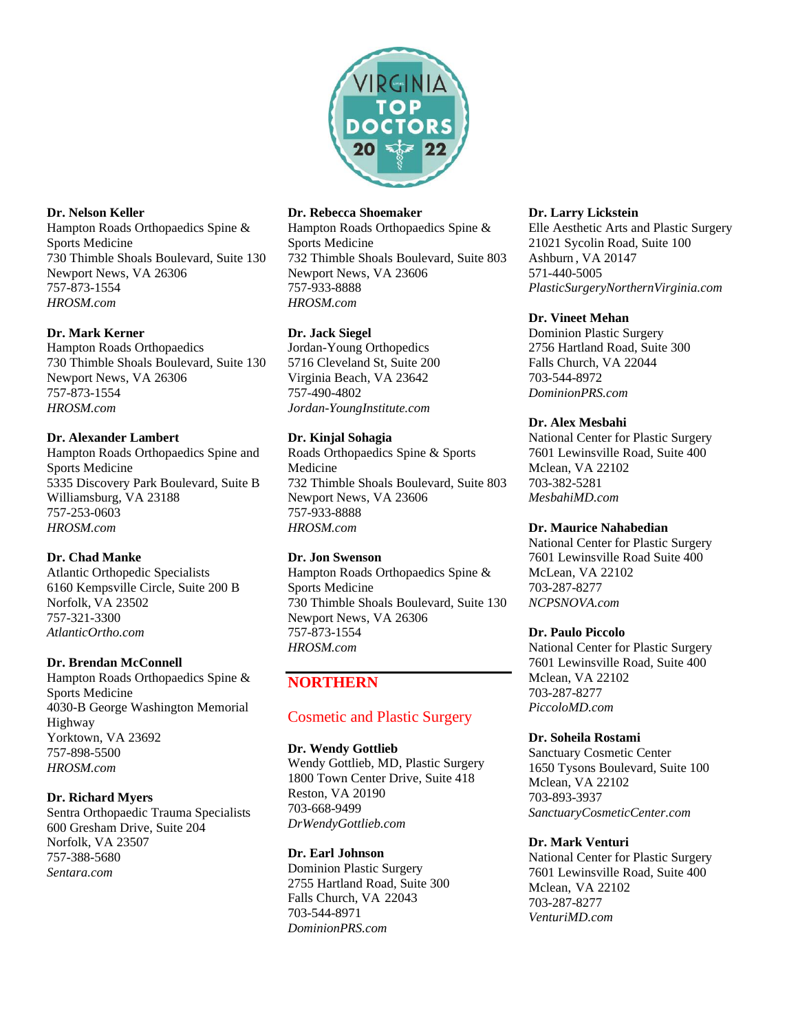

#### **Dr. Nelson Keller**

Hampton Roads Orthopaedics Spine & Sports Medicine 730 Thimble Shoals Boulevard, Suite 130 Newport News, VA 26306 757-873-1554 *HROSM.com*

## **Dr. Mark Kerner**

Hampton Roads Orthopaedics 730 Thimble Shoals Boulevard, Suite 130 Newport News, VA 26306 757-873-1554 *HROSM.com*

## **Dr. Alexander Lambert**

Hampton Roads Orthopaedics Spine and Sports Medicine 5335 Discovery Park Boulevard, Suite B Williamsburg, VA 23188 757-253-0603 *HROSM.com*

## **Dr. Chad Manke**

Atlantic Orthopedic Specialists 6160 Kempsville Circle, Suite 200 B Norfolk, VA 23502 757-321-3300 *AtlanticOrtho.com*

#### **Dr. Brendan McConnell**

Hampton Roads Orthopaedics Spine & Sports Medicine 4030-B George Washington Memorial Highway Yorktown, VA 23692 757-898-5500 *HROSM.com*

#### **Dr. Richard Myers**

Sentra Orthopaedic Trauma Specialists 600 Gresham Drive, Suite 204 Norfolk, VA 23507 757-388-5680 *Sentara.com*

#### **Dr. Rebecca Shoemaker**

Hampton Roads Orthopaedics Spine & Sports Medicine 732 Thimble Shoals Boulevard, Suite 803 Newport News, VA 23606 757-933-8888 *HROSM.com*

## **Dr. Jack Siegel**

Jordan-Young Orthopedics 5716 Cleveland St, Suite 200 Virginia Beach, VA 23642 757-490-4802 *Jordan-YoungInstitute.com*

## **Dr. Kinjal Sohagia**

Roads Orthopaedics Spine & Sports Medicine 732 Thimble Shoals Boulevard, Suite 803 Newport News, VA 23606 757-933-8888 *HROSM.com*

## **Dr. Jon Swenson**

Hampton Roads Orthopaedics Spine & Sports Medicine 730 Thimble Shoals Boulevard, Suite 130 Newport News, VA 26306 757-873-1554 *HROSM.com*

# **NORTHERN**

# Cosmetic and Plastic Surgery

#### **Dr. Wendy Gottlieb**

Wendy Gottlieb, MD, Plastic Surgery 1800 Town Center Drive, Suite 418 Reston, VA 20190 703-668-9499 *[DrWendyGottlieb.com](http://www.drwendygottlieb.com/)*

#### **Dr. Earl Johnson**

Dominion Plastic Surgery 2755 Hartland Road, Suite 300 Falls Church, VA 22043 703-544-8971 *[DominionPRS.com](http://www.dominionprs.com/)*

#### **Dr. Larry Lickstein**

Elle Aesthetic Arts and Plastic Surgery 21021 Sycolin Road, Suite 100 Ashburn , VA 20147 571-440-5005 *PlasticSurgeryNorthernVirginia.com*

## **Dr. Vineet Mehan**

Dominion Plastic Surgery 2756 Hartland Road, Suite 300 Falls Church, VA 22044 703-544-8972 *[DominionPRS.com](http://www.dominionprs.com/)*

## **Dr. Alex Mesbahi**

National Center for Plastic Surgery 7601 Lewinsville Road, Suite 400 Mclean, VA 22102 703-382-5281 *MesbahiMD.com*

#### **Dr. Maurice Nahabedian**

National Center for Plastic Surgery 7601 Lewinsville Road Suite 400 McLean, VA 22102 703-287-8277 *[NCPSNOVA.c](http://www.ncpsnova.com/)om*

#### **Dr. Paulo Piccolo**

National Center for Plastic Surgery 7601 Lewinsville Road, Suite 400 Mclean, VA 22102 703-287-8277 *PiccoloMD.com*

#### **Dr. Soheila Rostami**

Sanctuary Cosmetic Center 1650 Tysons Boulevard, Suite 100 Mclean, VA 22102 703-893-3937 *[SanctuaryCosmeticCenter.com](https://www.sanctuarycosmeticcenter.com/)*

#### **Dr. Mark Venturi**

National Center for Plastic Surgery 7601 Lewinsville Road, Suite 400 Mclean, VA 22102 703-287-8277 *VenturiMD.com*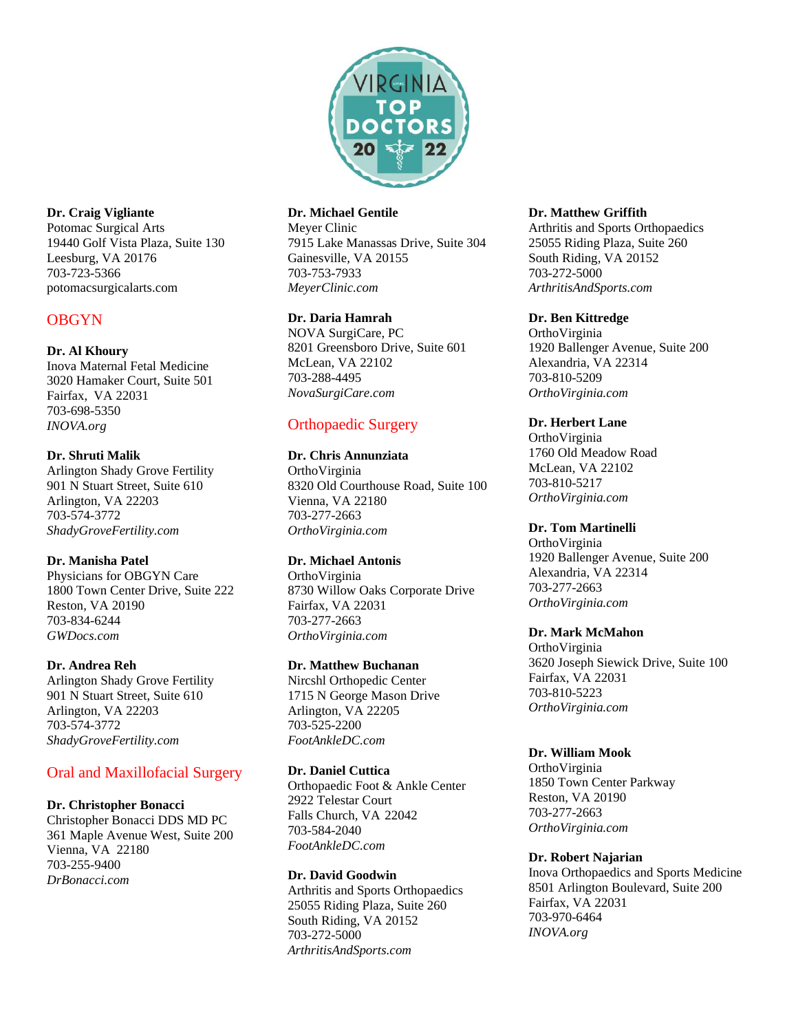

## **Dr. Craig Vigliante**

Potomac Surgical Arts 19440 Golf Vista Plaza, Suite 130 Leesburg, VA 20176 703-723-5366 potomacsurgicalarts.com

# **OBGYN**

## **Dr. Al Khoury**

Inova Maternal Fetal Medicine 3020 Hamaker Court, Suite 501 Fairfax, VA 22031 703-698-5350 *INOVA.org*

## **Dr. Shruti Malik**

Arlington Shady Grove Fertility 901 N Stuart Street, Suite 610 Arlington, VA 22203 703-574-3772 *[ShadyGroveFertility.com](http://www.shadygrovefertility.com/)*

## **Dr. Manisha Patel**

Physicians for OBGYN Care 1800 Town Center Drive, Suite 222 Reston, VA 20190 703-834-6244 *GWDocs.com*

## **Dr. Andrea Reh**

Arlington Shady Grove Fertility 901 N Stuart Street, Suite 610 Arlington, VA 22203 703-574-3772 *[ShadyGroveFertility.com](http://www.shadygrovefertility.com/)*

# Oral and Maxillofacial Surgery

#### **Dr. Christopher Bonacci**

Christopher Bonacci DDS MD PC 361 Maple Avenue West, Suite 200 Vienna, VA 22180 703-255-9400 *[DrBonacci.com](http://www.drbonacci.com/)*

# **Dr. Michael Gentile**

Meyer Clinic 7915 Lake Manassas Drive, Suite 304 Gainesville, VA 20155 703-753-7933 *MeyerClinic.com*

## **Dr. Daria Hamrah**

NOVA SurgiCare, PC 8201 Greensboro Drive, Suite 601 McLean, VA 22102 703-288-4495 *NovaSurgiCare.com*

# Orthopaedic Surgery

## **Dr. Chris Annunziata**

OrthoVirginia 8320 Old Courthouse Road, Suite 100 Vienna, VA 22180 703-277-2663 *OrthoVirginia.com*

## **Dr. Michael Antonis**

OrthoVirginia 8730 Willow Oaks Corporate Drive Fairfax, VA 22031 703-277-2663 *OrthoVirginia.com*

## **Dr. Matthew Buchanan**

Nircshl Orthopedic Center 1715 N George Mason Drive Arlington, VA 22205 703-525-2200 *[FootAnkleDC.com](http://www.footankledc.com/)*

## **Dr. Daniel Cuttica**

Orthopaedic Foot & Ankle Center 2922 Telestar Court Falls Church, VA 22042 703-584-2040 *FootAnkleDC.com*

#### **Dr. David Goodwin**

Arthritis and Sports Orthopaedics 25055 Riding Plaza, Suite 260 South Riding, VA 20152 [703-272-5000](tel:1-703-272-5000) *ArthritisAndSports.com*

#### **Dr. Matthew Griffith**

Arthritis and Sports Orthopaedics 25055 Riding Plaza, Suite 260 South Riding, VA 20152 [703-272-5000](tel:1-703-272-5000) *ArthritisAndSports.com*

## **Dr. Ben Kittredge**

OrthoVirginia 1920 Ballenger Avenue, Suite 200 Alexandria, VA 22314 703-810-5209 *OrthoVirginia.com*

## **Dr. Herbert Lane**

OrthoVirginia 1760 Old Meadow Road McLean, VA 22102 703-810-5217 *OrthoVirginia.com*

## **Dr. Tom Martinelli**

OrthoVirginia 1920 Ballenger Avenue, Suite 200 Alexandria, VA 22314 703-277-2663 *OrthoVirginia.com*

#### **Dr. Mark McMahon**

OrthoVirginia 3620 Joseph Siewick Drive, Suite 100 Fairfax, VA 22031 703-810-5223 *OrthoVirginia.com*

## **Dr. William Mook**

OrthoVirginia 1850 Town Center Parkway Reston, VA 20190 703-277-2663 *[OrthoVirginia.com](http://www.orthovirginia.com/)*

#### **Dr. Robert Najarian**

Inova Orthopaedics and Sports Medicine 8501 Arlington Boulevard, Suite 200 Fairfax, VA 22031 703-970-6464 *INOVA.org*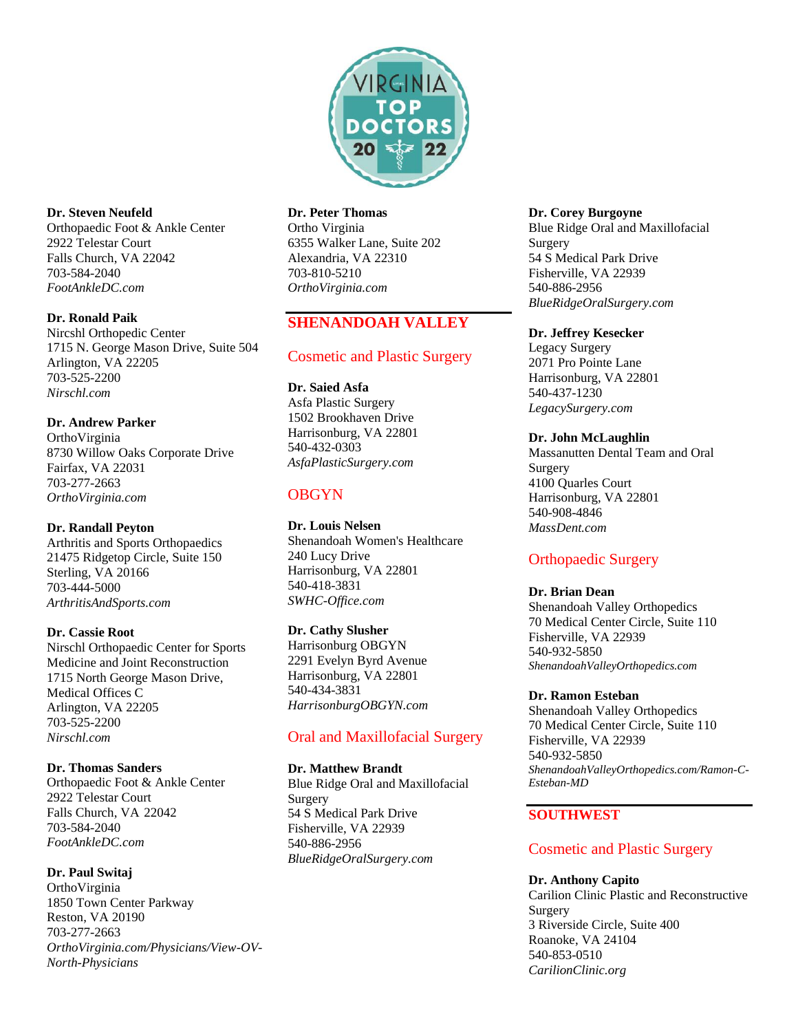

**Dr. Steven Neufeld** Orthopaedic Foot & Ankle Center 2922 Telestar Court Falls Church, VA 22042 703-584-2040 *FootAnkleDC.com*

## **Dr. Ronald Paik**

Nircshl Orthopedic Center 1715 N. George Mason Drive, Suite 504 Arlington, VA 22205 703-525-2200 *[Nirschl.com](http://www.nirschl.com/)*

**Dr. Andrew Parker** OrthoVirginia 8730 Willow Oaks Corporate Drive Fairfax, VA 22031 703-277-2663 *[OrthoVirginia.com](http://www.orthovirginia.com/)*

#### **Dr. Randall Peyton**

Arthritis and Sports Orthopaedics 21475 Ridgetop Circle, Suite 150 Sterling, VA 20166 703-444-5000 *[ArthritisAndSports.com](http://www.arthritisandsports.com/)*

#### **Dr. Cassie Root**

Nirschl Orthopaedic Center for Sports Medicine and Joint Reconstruction 1715 North George Mason Drive, Medical Offices C Arlington, VA 22205 [703-525-2200](https://www.google.com/search?q=nirschl+orthopedic+center&rlz=1C1GCEA_enUS940US940&oq=nirschl&aqs=chrome.0.0i355i512j46i175i199i512j69i57j0i512l4j69i61.3143j0j4&sourceid=chrome&ie=UTF-8) *[Nirschl.com](http://www.nirschl.com/)*

#### **Dr. Thomas Sanders**

Orthopaedic Foot & Ankle Center 2922 Telestar Court Falls Church, VA 22042 703-584-2040 *[FootAnkleDC.com](http://www.footankledc.com/)*

#### **Dr. Paul Switaj**

OrthoVirginia 1850 Town Center Parkway Reston, VA 20190 703-277-2663 *[OrthoVirginia.com/Physicians/View-OV-](https://www.orthovirginia.com/Physicians/View-OV-North-Physicians)[North-Physicians](https://www.orthovirginia.com/Physicians/View-OV-North-Physicians)*

#### **Dr. Peter Thomas**

Ortho Virginia 6355 Walker Lane, Suite 202 Alexandria, VA 22310 703-810-5210 *[OrthoVirginia.com](http://www.orthovirginia.com/)*

# **SHENANDOAH VALLEY**

## Cosmetic and Plastic Surgery

**Dr. Saied Asfa** Asfa Plastic Surgery 1502 Brookhaven Drive Harrisonburg, VA 22801 540-432-0303 *[AsfaPlasticSurgery.com](http://www.asfaplasticsurgery.com/)*

# **OBGYN**

**Dr. Louis Nelsen** Shenandoah Women's Healthcare 240 Lucy Drive Harrisonburg, VA 22801 540-418-3831 *SWHC-Office.com*

#### **Dr. Cathy Slusher**

Harrisonburg OBGYN 2291 Evelyn Byrd Avenue Harrisonburg, VA 22801 540-434-3831 *[HarrisonburgOBGYN.com](http://www.harrisonburgobgyn.com/)*

# Oral and Maxillofacial Surgery

## **Dr. Matthew Brandt**

Blue Ridge Oral and Maxillofacial Surgery 54 S Medical Park Drive Fisherville, VA 22939 540-886-2956 *BlueRidgeOralSurgery.com*

#### **Dr. Corey Burgoyne**

Blue Ridge Oral and Maxillofacial Surgery 54 S Medical Park Drive Fisherville, VA 22939 540-886-2956 *[BlueRidgeOralSurgery.com](https://www.blueridgeoralsurgery.com/)*

#### **Dr. Jeffrey Kesecker**

Legacy Surgery 2071 Pro Pointe Lane Harrisonburg, VA 22801 540-437-1230 *[LegacySurgery.com](https://legacysurgery.com/)*

## **Dr. John McLaughlin**

Massanutten Dental Team and Oral Surgery 4100 Quarles Court Harrisonburg, VA 22801 [540-908-4846](/Users/konstantin/Downloads/540-908-4846) *[MassDent.com](https://www.massdent.com/)*

# Orthopaedic Surgery

#### **Dr. Brian Dean**

Shenandoah Valley Orthopedics 70 Medical Center Circle, Suite 110 Fisherville, VA 22939 540-932-5850 *[ShenandoahValleyOrthopedics.com](http://www.shenandoahvalleyorthopedics.com/)*

#### **Dr. Ramon Esteban**

Shenandoah Valley Orthopedics 70 Medical Center Circle, Suite 110 Fisherville, VA 22939 540-932-5850 *ShenandoahValleyOrthopedics.com/Ramon-C-Esteban-MD*

## **SOUTHWEST**

# Cosmetic and Plastic Surgery

#### **Dr. Anthony Capito**

Carilion Clinic Plastic and Reconstructive Surgery 3 Riverside Circle, Suite 400 Roanoke, VA 24104 540-853-0510 *CarilionClinic.org*